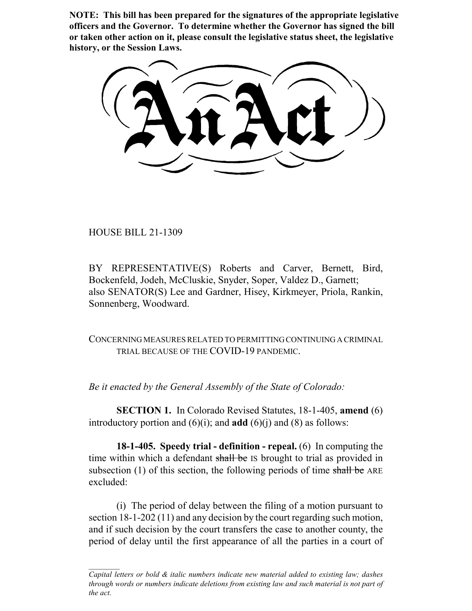**NOTE: This bill has been prepared for the signatures of the appropriate legislative officers and the Governor. To determine whether the Governor has signed the bill or taken other action on it, please consult the legislative status sheet, the legislative history, or the Session Laws.**

HOUSE BILL 21-1309

BY REPRESENTATIVE(S) Roberts and Carver, Bernett, Bird, Bockenfeld, Jodeh, McCluskie, Snyder, Soper, Valdez D., Garnett; also SENATOR(S) Lee and Gardner, Hisey, Kirkmeyer, Priola, Rankin, Sonnenberg, Woodward.

CONCERNING MEASURES RELATED TO PERMITTING CONTINUING A CRIMINAL TRIAL BECAUSE OF THE COVID-19 PANDEMIC.

*Be it enacted by the General Assembly of the State of Colorado:*

**SECTION 1.** In Colorado Revised Statutes, 18-1-405, **amend** (6) introductory portion and  $(6)(i)$ ; and **add**  $(6)(i)$  and  $(8)$  as follows:

**18-1-405. Speedy trial - definition - repeal.** (6) In computing the time within which a defendant shall be IS brought to trial as provided in subsection (1) of this section, the following periods of time shall be ARE excluded:

(i) The period of delay between the filing of a motion pursuant to section 18-1-202 (11) and any decision by the court regarding such motion, and if such decision by the court transfers the case to another county, the period of delay until the first appearance of all the parties in a court of

*Capital letters or bold & italic numbers indicate new material added to existing law; dashes through words or numbers indicate deletions from existing law and such material is not part of the act.*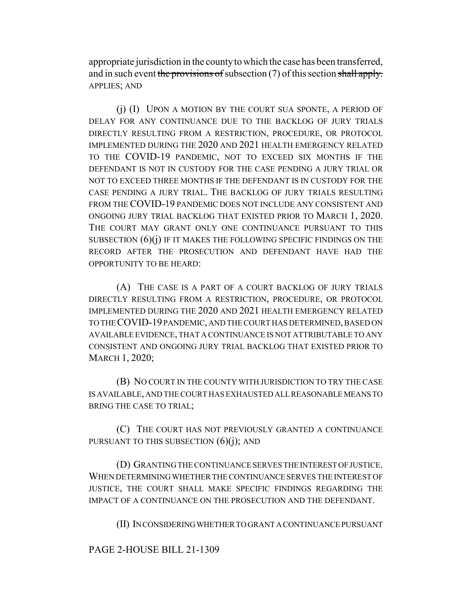appropriate jurisdiction in the county to which the case has been transferred, and in such event the provisions of subsection (7) of this section shall apply. APPLIES; AND

(j) (I) UPON A MOTION BY THE COURT SUA SPONTE, A PERIOD OF DELAY FOR ANY CONTINUANCE DUE TO THE BACKLOG OF JURY TRIALS DIRECTLY RESULTING FROM A RESTRICTION, PROCEDURE, OR PROTOCOL IMPLEMENTED DURING THE 2020 AND 2021 HEALTH EMERGENCY RELATED TO THE COVID-19 PANDEMIC, NOT TO EXCEED SIX MONTHS IF THE DEFENDANT IS NOT IN CUSTODY FOR THE CASE PENDING A JURY TRIAL OR NOT TO EXCEED THREE MONTHS IF THE DEFENDANT IS IN CUSTODY FOR THE CASE PENDING A JURY TRIAL. THE BACKLOG OF JURY TRIALS RESULTING FROM THE COVID-19 PANDEMIC DOES NOT INCLUDE ANY CONSISTENT AND ONGOING JURY TRIAL BACKLOG THAT EXISTED PRIOR TO MARCH 1, 2020. THE COURT MAY GRANT ONLY ONE CONTINUANCE PURSUANT TO THIS SUBSECTION  $(6)(i)$  IF IT MAKES THE FOLLOWING SPECIFIC FINDINGS ON THE RECORD AFTER THE PROSECUTION AND DEFENDANT HAVE HAD THE OPPORTUNITY TO BE HEARD:

(A) THE CASE IS A PART OF A COURT BACKLOG OF JURY TRIALS DIRECTLY RESULTING FROM A RESTRICTION, PROCEDURE, OR PROTOCOL IMPLEMENTED DURING THE 2020 AND 2021 HEALTH EMERGENCY RELATED TO THE COVID-19 PANDEMIC, AND THE COURT HAS DETERMINED, BASED ON AVAILABLE EVIDENCE, THAT A CONTINUANCE IS NOT ATTRIBUTABLE TO ANY CONSISTENT AND ONGOING JURY TRIAL BACKLOG THAT EXISTED PRIOR TO MARCH 1, 2020;

(B) NO COURT IN THE COUNTY WITH JURISDICTION TO TRY THE CASE IS AVAILABLE, AND THE COURT HAS EXHAUSTED ALL REASONABLE MEANS TO BRING THE CASE TO TRIAL;

(C) THE COURT HAS NOT PREVIOUSLY GRANTED A CONTINUANCE PURSUANT TO THIS SUBSECTION  $(6)(j)$ ; AND

(D) GRANTING THE CONTINUANCE SERVES THE INTEREST OF JUSTICE. WHEN DETERMINING WHETHER THE CONTINUANCE SERVES THE INTEREST OF JUSTICE, THE COURT SHALL MAKE SPECIFIC FINDINGS REGARDING THE IMPACT OF A CONTINUANCE ON THE PROSECUTION AND THE DEFENDANT.

(II) IN CONSIDERING WHETHER TO GRANT A CONTINUANCE PURSUANT

## PAGE 2-HOUSE BILL 21-1309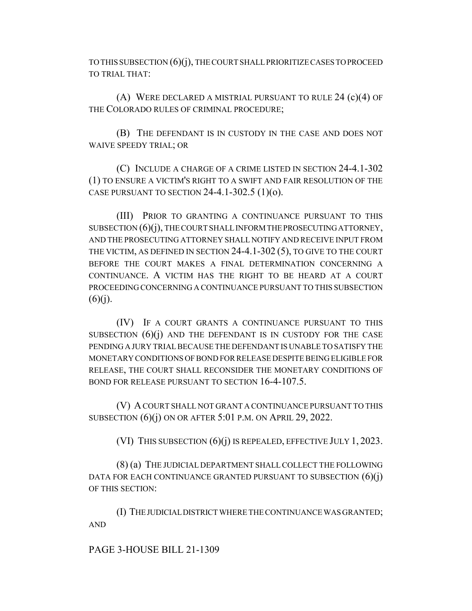TO THIS SUBSECTION (6)(j), THE COURT SHALL PRIORITIZE CASES TO PROCEED TO TRIAL THAT:

(A) WERE DECLARED A MISTRIAL PURSUANT TO RULE 24 (c)(4) OF THE COLORADO RULES OF CRIMINAL PROCEDURE;

(B) THE DEFENDANT IS IN CUSTODY IN THE CASE AND DOES NOT WAIVE SPEEDY TRIAL; OR

(C) INCLUDE A CHARGE OF A CRIME LISTED IN SECTION 24-4.1-302 (1) TO ENSURE A VICTIM'S RIGHT TO A SWIFT AND FAIR RESOLUTION OF THE CASE PURSUANT TO SECTION 24-4.1-302.5  $(1)(o)$ .

(III) PRIOR TO GRANTING A CONTINUANCE PURSUANT TO THIS SUBSECTION  $(6)(i)$ , THE COURT SHALL INFORM THE PROSECUTING ATTORNEY, AND THE PROSECUTING ATTORNEY SHALL NOTIFY AND RECEIVE INPUT FROM THE VICTIM, AS DEFINED IN SECTION 24-4.1-302 (5), TO GIVE TO THE COURT BEFORE THE COURT MAKES A FINAL DETERMINATION CONCERNING A CONTINUANCE. A VICTIM HAS THE RIGHT TO BE HEARD AT A COURT PROCEEDING CONCERNING A CONTINUANCE PURSUANT TO THIS SUBSECTION  $(6)(i)$ .

(IV) IF A COURT GRANTS A CONTINUANCE PURSUANT TO THIS SUBSECTION  $(6)(i)$  and the defendant is in custody for the case PENDING A JURY TRIAL BECAUSE THE DEFENDANT IS UNABLE TO SATISFY THE MONETARY CONDITIONS OF BOND FOR RELEASE DESPITE BEING ELIGIBLE FOR RELEASE, THE COURT SHALL RECONSIDER THE MONETARY CONDITIONS OF BOND FOR RELEASE PURSUANT TO SECTION 16-4-107.5.

(V) A COURT SHALL NOT GRANT A CONTINUANCE PURSUANT TO THIS SUBSECTION  $(6)(i)$  ON OR AFTER 5:01 P.M. ON APRIL 29, 2022.

(VI) THIS SUBSECTION (6)(j) IS REPEALED, EFFECTIVE JULY 1, 2023.

(8) (a) THE JUDICIAL DEPARTMENT SHALL COLLECT THE FOLLOWING DATA FOR EACH CONTINUANCE GRANTED PURSUANT TO SUBSECTION  $(6)(i)$ OF THIS SECTION:

(I) THE JUDICIAL DISTRICT WHERE THE CONTINUANCE WAS GRANTED; AND

## PAGE 3-HOUSE BILL 21-1309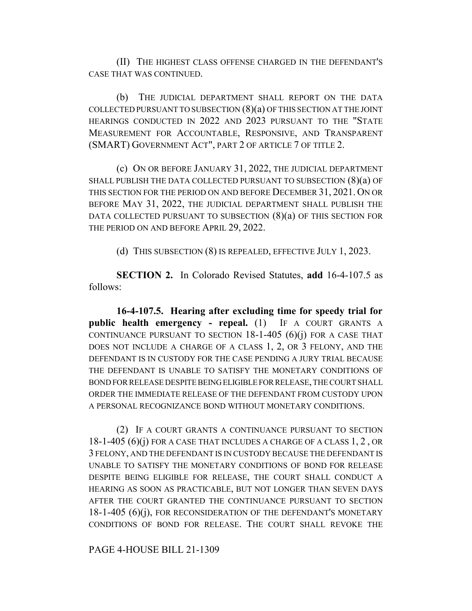(II) THE HIGHEST CLASS OFFENSE CHARGED IN THE DEFENDANT'S CASE THAT WAS CONTINUED.

(b) THE JUDICIAL DEPARTMENT SHALL REPORT ON THE DATA COLLECTED PURSUANT TO SUBSECTION  $(8)(a)$  OF THIS SECTION AT THE JOINT HEARINGS CONDUCTED IN 2022 AND 2023 PURSUANT TO THE "STATE MEASUREMENT FOR ACCOUNTABLE, RESPONSIVE, AND TRANSPARENT (SMART) GOVERNMENT ACT", PART 2 OF ARTICLE 7 OF TITLE 2.

(c) ON OR BEFORE JANUARY 31, 2022, THE JUDICIAL DEPARTMENT SHALL PUBLISH THE DATA COLLECTED PURSUANT TO SUBSECTION (8)(a) OF THIS SECTION FOR THE PERIOD ON AND BEFORE DECEMBER 31, 2021. ON OR BEFORE MAY 31, 2022, THE JUDICIAL DEPARTMENT SHALL PUBLISH THE DATA COLLECTED PURSUANT TO SUBSECTION  $(8)(a)$  OF THIS SECTION FOR THE PERIOD ON AND BEFORE APRIL 29, 2022.

(d) THIS SUBSECTION (8) IS REPEALED, EFFECTIVE JULY 1, 2023.

**SECTION 2.** In Colorado Revised Statutes, **add** 16-4-107.5 as follows:

**16-4-107.5. Hearing after excluding time for speedy trial for public health emergency - repeal.** (1) IF A COURT GRANTS A CONTINUANCE PURSUANT TO SECTION  $18-1-405$  (6)(j) FOR A CASE THAT DOES NOT INCLUDE A CHARGE OF A CLASS 1, 2, OR 3 FELONY, AND THE DEFENDANT IS IN CUSTODY FOR THE CASE PENDING A JURY TRIAL BECAUSE THE DEFENDANT IS UNABLE TO SATISFY THE MONETARY CONDITIONS OF BOND FOR RELEASE DESPITE BEING ELIGIBLE FOR RELEASE, THE COURT SHALL ORDER THE IMMEDIATE RELEASE OF THE DEFENDANT FROM CUSTODY UPON A PERSONAL RECOGNIZANCE BOND WITHOUT MONETARY CONDITIONS.

(2) IF A COURT GRANTS A CONTINUANCE PURSUANT TO SECTION  $18-1-405(6)(i)$  FOR A CASE THAT INCLUDES A CHARGE OF A CLASS  $1, 2,$  OR 3 FELONY, AND THE DEFENDANT IS IN CUSTODY BECAUSE THE DEFENDANT IS UNABLE TO SATISFY THE MONETARY CONDITIONS OF BOND FOR RELEASE DESPITE BEING ELIGIBLE FOR RELEASE, THE COURT SHALL CONDUCT A HEARING AS SOON AS PRACTICABLE, BUT NOT LONGER THAN SEVEN DAYS AFTER THE COURT GRANTED THE CONTINUANCE PURSUANT TO SECTION 18-1-405 (6)(j), FOR RECONSIDERATION OF THE DEFENDANT'S MONETARY CONDITIONS OF BOND FOR RELEASE. THE COURT SHALL REVOKE THE

PAGE 4-HOUSE BILL 21-1309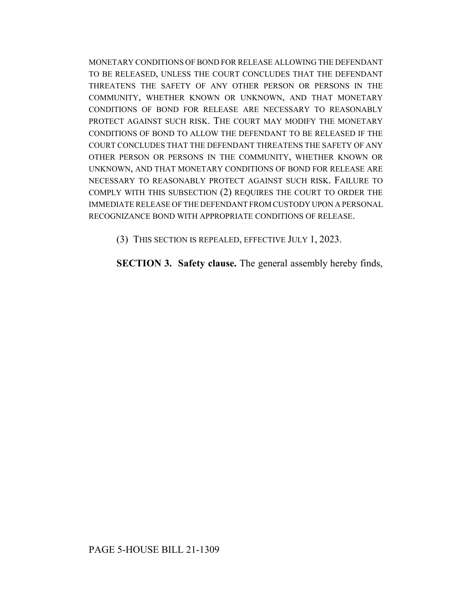MONETARY CONDITIONS OF BOND FOR RELEASE ALLOWING THE DEFENDANT TO BE RELEASED, UNLESS THE COURT CONCLUDES THAT THE DEFENDANT THREATENS THE SAFETY OF ANY OTHER PERSON OR PERSONS IN THE COMMUNITY, WHETHER KNOWN OR UNKNOWN, AND THAT MONETARY CONDITIONS OF BOND FOR RELEASE ARE NECESSARY TO REASONABLY PROTECT AGAINST SUCH RISK. THE COURT MAY MODIFY THE MONETARY CONDITIONS OF BOND TO ALLOW THE DEFENDANT TO BE RELEASED IF THE COURT CONCLUDES THAT THE DEFENDANT THREATENS THE SAFETY OF ANY OTHER PERSON OR PERSONS IN THE COMMUNITY, WHETHER KNOWN OR UNKNOWN, AND THAT MONETARY CONDITIONS OF BOND FOR RELEASE ARE NECESSARY TO REASONABLY PROTECT AGAINST SUCH RISK. FAILURE TO COMPLY WITH THIS SUBSECTION (2) REQUIRES THE COURT TO ORDER THE IMMEDIATE RELEASE OF THE DEFENDANT FROM CUSTODY UPON A PERSONAL RECOGNIZANCE BOND WITH APPROPRIATE CONDITIONS OF RELEASE.

(3) THIS SECTION IS REPEALED, EFFECTIVE JULY 1, 2023.

**SECTION 3. Safety clause.** The general assembly hereby finds,